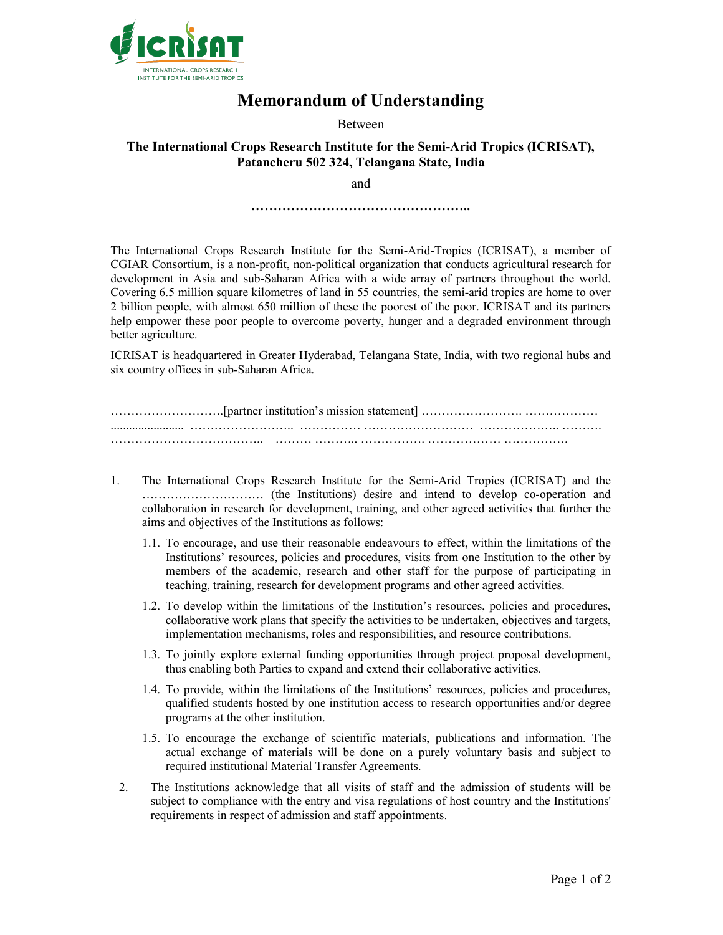

## Memorandum of Understanding

Between

## The International Crops Research Institute for the Semi-Arid Tropics (ICRISAT), Patancheru 502 324, Telangana State, India

and

…………………………………………..

The International Crops Research Institute for the Semi-Arid-Tropics (ICRISAT), a member of CGIAR Consortium, is a non-profit, non-political organization that conducts agricultural research for development in Asia and sub-Saharan Africa with a wide array of partners throughout the world. Covering 6.5 million square kilometres of land in 55 countries, the semi-arid tropics are home to over 2 billion people, with almost 650 million of these the poorest of the poor. ICRISAT and its partners help empower these poor people to overcome poverty, hunger and a degraded environment through better agriculture.

ICRISAT is headquartered in Greater Hyderabad, Telangana State, India, with two regional hubs and six country offices in sub-Saharan Africa.

……………………….[partner institution's mission statement] ……………………. ……………… ........................ …………………….. …………… ……………………… ……………….. ……….  $\mathcal{L}^{(n)}$  .  $\mathcal{L}^{(n)}$  .  $\mathcal{L}^{(n)}$  .  $\mathcal{L}^{(n)}$  .  $\mathcal{L}^{(n)}$  .  $\mathcal{L}^{(n)}$  .  $\mathcal{L}^{(n)}$  .  $\mathcal{L}^{(n)}$ 

- 1. The International Crops Research Institute for the Semi-Arid Tropics (ICRISAT) and the ………………………… (the Institutions) desire and intend to develop co-operation and collaboration in research for development, training, and other agreed activities that further the aims and objectives of the Institutions as follows:
	- 1.1. To encourage, and use their reasonable endeavours to effect, within the limitations of the Institutions' resources, policies and procedures, visits from one Institution to the other by members of the academic, research and other staff for the purpose of participating in teaching, training, research for development programs and other agreed activities.
	- 1.2. To develop within the limitations of the Institution's resources, policies and procedures, collaborative work plans that specify the activities to be undertaken, objectives and targets, implementation mechanisms, roles and responsibilities, and resource contributions.
	- 1.3. To jointly explore external funding opportunities through project proposal development, thus enabling both Parties to expand and extend their collaborative activities.
	- 1.4. To provide, within the limitations of the Institutions' resources, policies and procedures, qualified students hosted by one institution access to research opportunities and/or degree programs at the other institution.
	- 1.5. To encourage the exchange of scientific materials, publications and information. The actual exchange of materials will be done on a purely voluntary basis and subject to required institutional Material Transfer Agreements.
- 2. The Institutions acknowledge that all visits of staff and the admission of students will be subject to compliance with the entry and visa regulations of host country and the Institutions' requirements in respect of admission and staff appointments.